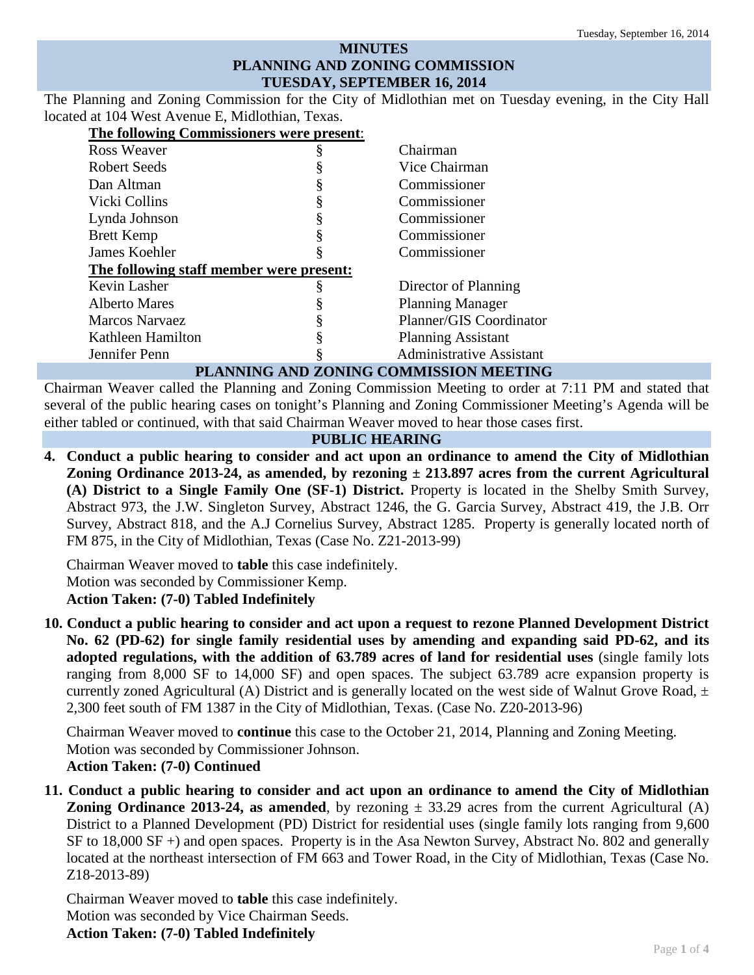## **MINUTES PLANNING AND ZONING COMMISSION TUESDAY, SEPTEMBER 16, 2014**

The Planning and Zoning Commission for the City of Midlothian met on Tuesday evening, in the City Hall located at 104 West Avenue E, Midlothian, Texas.

| The following Commissioners were present:                 |   |                                 |
|-----------------------------------------------------------|---|---------------------------------|
| Ross Weaver                                               | ş | Chairman                        |
| Robert Seeds                                              |   | Vice Chairman                   |
| Dan Altman                                                | § | Commissioner                    |
| Vicki Collins                                             | § | Commissioner                    |
| Lynda Johnson                                             | § | Commissioner                    |
| <b>Brett Kemp</b>                                         | § | Commissioner                    |
| James Koehler                                             | § | Commissioner                    |
| The following staff member were present:                  |   |                                 |
| Kevin Lasher                                              | § | Director of Planning            |
| <b>Alberto Mares</b>                                      |   | <b>Planning Manager</b>         |
| <b>Marcos Narvaez</b>                                     | § | Planner/GIS Coordinator         |
| Kathleen Hamilton                                         |   | <b>Planning Assistant</b>       |
| Jennifer Penn                                             |   | <b>Administrative Assistant</b> |
| <u>ni i vivinia i vin havivia davri irodiav i innivia</u> |   |                                 |

# **PLANNING AND ZONING COMMISSION MEETING**

Chairman Weaver called the Planning and Zoning Commission Meeting to order at 7:11 PM and stated that several of the public hearing cases on tonight's Planning and Zoning Commissioner Meeting's Agenda will be either tabled or continued, with that said Chairman Weaver moved to hear those cases first.

### **PUBLIC HEARING**

**4. Conduct a public hearing to consider and act upon an ordinance to amend the City of Midlothian Zoning Ordinance 2013-24, as amended, by rezoning ± 213.897 acres from the current Agricultural (A) District to a Single Family One (SF-1) District.** Property is located in the Shelby Smith Survey, Abstract 973, the J.W. Singleton Survey, Abstract 1246, the G. Garcia Survey, Abstract 419, the J.B. Orr Survey, Abstract 818, and the A.J Cornelius Survey, Abstract 1285. Property is generally located north of FM 875, in the City of Midlothian, Texas (Case No. Z21-2013-99)

Chairman Weaver moved to **table** this case indefinitely. Motion was seconded by Commissioner Kemp. **Action Taken: (7-0) Tabled Indefinitely**

**10. Conduct a public hearing to consider and act upon a request to rezone Planned Development District No. 62 (PD-62) for single family residential uses by amending and expanding said PD-62, and its adopted regulations, with the addition of 63.789 acres of land for residential uses** (single family lots ranging from 8,000 SF to 14,000 SF) and open spaces. The subject 63.789 acre expansion property is currently zoned Agricultural (A) District and is generally located on the west side of Walnut Grove Road,  $\pm$ 2,300 feet south of FM 1387 in the City of Midlothian, Texas. (Case No. Z20-2013-96)

Chairman Weaver moved to **continue** this case to the October 21, 2014, Planning and Zoning Meeting. Motion was seconded by Commissioner Johnson. **Action Taken: (7-0) Continued**

**11. Conduct a public hearing to consider and act upon an ordinance to amend the City of Midlothian Zoning Ordinance 2013-24, as amended**, by rezoning  $\pm$  33.29 acres from the current Agricultural (A) District to a Planned Development (PD) District for residential uses (single family lots ranging from 9,600 SF to 18,000 SF +) and open spaces. Property is in the Asa Newton Survey, Abstract No. 802 and generally located at the northeast intersection of FM 663 and Tower Road, in the City of Midlothian, Texas (Case No. Z18-2013-89)

Chairman Weaver moved to **table** this case indefinitely. Motion was seconded by Vice Chairman Seeds. **Action Taken: (7-0) Tabled Indefinitely**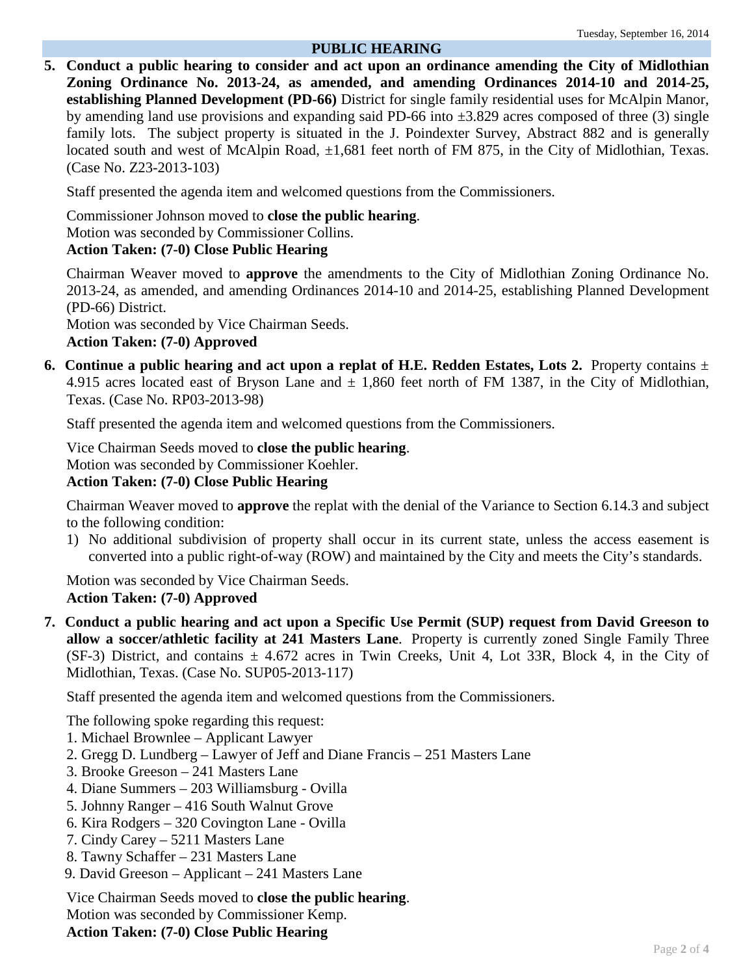#### **PUBLIC HEARING**

**5. Conduct a public hearing to consider and act upon an ordinance amending the City of Midlothian Zoning Ordinance No. 2013-24, as amended, and amending Ordinances 2014-10 and 2014-25, establishing Planned Development (PD-66)** District for single family residential uses for McAlpin Manor, by amending land use provisions and expanding said PD-66 into ±3.829 acres composed of three (3) single family lots. The subject property is situated in the J. Poindexter Survey, Abstract 882 and is generally located south and west of McAlpin Road,  $\pm 1,681$  feet north of FM 875, in the City of Midlothian, Texas. (Case No. Z23-2013-103)

Staff presented the agenda item and welcomed questions from the Commissioners.

Commissioner Johnson moved to **close the public hearing**.

Motion was seconded by Commissioner Collins.

### **Action Taken: (7-0) Close Public Hearing**

Chairman Weaver moved to **approve** the amendments to the City of Midlothian Zoning Ordinance No. 2013-24, as amended, and amending Ordinances 2014-10 and 2014-25, establishing Planned Development (PD-66) District.

Motion was seconded by Vice Chairman Seeds.

### **Action Taken: (7-0) Approved**

**6. Continue a public hearing and act upon a replat of H.E. Redden Estates, Lots 2.** Property contains  $\pm$ 4.915 acres located east of Bryson Lane and  $\pm$  1,860 feet north of FM 1387, in the City of Midlothian, Texas. (Case No. RP03-2013-98)

Staff presented the agenda item and welcomed questions from the Commissioners.

Vice Chairman Seeds moved to **close the public hearing**.

Motion was seconded by Commissioner Koehler.

### **Action Taken: (7-0) Close Public Hearing**

Chairman Weaver moved to **approve** the replat with the denial of the Variance to Section 6.14.3 and subject to the following condition:

1) No additional subdivision of property shall occur in its current state, unless the access easement is converted into a public right-of-way (ROW) and maintained by the City and meets the City's standards.

Motion was seconded by Vice Chairman Seeds. **Action Taken: (7-0) Approved**

**7. Conduct a public hearing and act upon a Specific Use Permit (SUP) request from David Greeson to allow a soccer/athletic facility at 241 Masters Lane**. Property is currently zoned Single Family Three (SF-3) District, and contains  $\pm$  4.672 acres in Twin Creeks, Unit 4, Lot 33R, Block 4, in the City of Midlothian, Texas. (Case No. SUP05-2013-117)

Staff presented the agenda item and welcomed questions from the Commissioners.

The following spoke regarding this request:

- 1. Michael Brownlee Applicant Lawyer
- 2. Gregg D. Lundberg Lawyer of Jeff and Diane Francis 251 Masters Lane
- 3. Brooke Greeson 241 Masters Lane
- 4. Diane Summers 203 Williamsburg Ovilla
- 5. Johnny Ranger 416 South Walnut Grove
- 6. Kira Rodgers 320 Covington Lane Ovilla
- 7. Cindy Carey 5211 Masters Lane
- 8. Tawny Schaffer 231 Masters Lane
- 9. David Greeson Applicant 241 Masters Lane

#### Vice Chairman Seeds moved to **close the public hearing**.

Motion was seconded by Commissioner Kemp.

**Action Taken: (7-0) Close Public Hearing**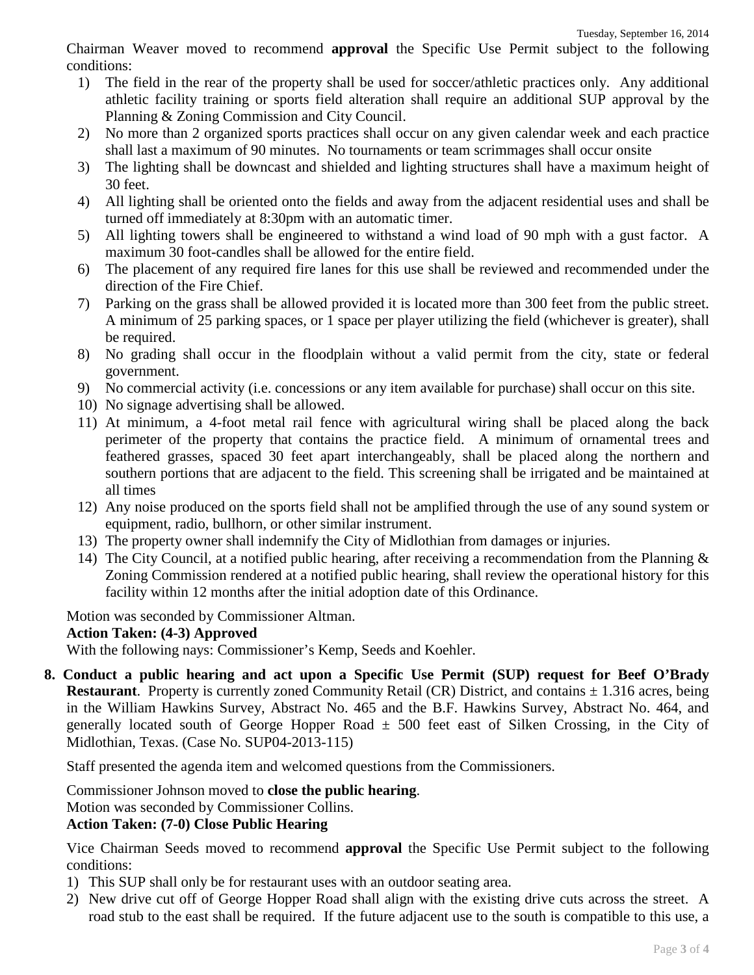Chairman Weaver moved to recommend **approval** the Specific Use Permit subject to the following conditions:

- 1) The field in the rear of the property shall be used for soccer/athletic practices only. Any additional athletic facility training or sports field alteration shall require an additional SUP approval by the Planning & Zoning Commission and City Council.
- 2) No more than 2 organized sports practices shall occur on any given calendar week and each practice shall last a maximum of 90 minutes. No tournaments or team scrimmages shall occur onsite
- 3) The lighting shall be downcast and shielded and lighting structures shall have a maximum height of 30 feet.
- 4) All lighting shall be oriented onto the fields and away from the adjacent residential uses and shall be turned off immediately at 8:30pm with an automatic timer.
- 5) All lighting towers shall be engineered to withstand a wind load of 90 mph with a gust factor. A maximum 30 foot-candles shall be allowed for the entire field.
- 6) The placement of any required fire lanes for this use shall be reviewed and recommended under the direction of the Fire Chief.
- 7) Parking on the grass shall be allowed provided it is located more than 300 feet from the public street. A minimum of 25 parking spaces, or 1 space per player utilizing the field (whichever is greater), shall be required.
- 8) No grading shall occur in the floodplain without a valid permit from the city, state or federal government.
- 9) No commercial activity (i.e. concessions or any item available for purchase) shall occur on this site.
- 10) No signage advertising shall be allowed.
- 11) At minimum, a 4-foot metal rail fence with agricultural wiring shall be placed along the back perimeter of the property that contains the practice field. A minimum of ornamental trees and feathered grasses, spaced 30 feet apart interchangeably, shall be placed along the northern and southern portions that are adjacent to the field. This screening shall be irrigated and be maintained at all times
- 12) Any noise produced on the sports field shall not be amplified through the use of any sound system or equipment, radio, bullhorn, or other similar instrument.
- 13) The property owner shall indemnify the City of Midlothian from damages or injuries.
- 14) The City Council, at a notified public hearing, after receiving a recommendation from the Planning & Zoning Commission rendered at a notified public hearing, shall review the operational history for this facility within 12 months after the initial adoption date of this Ordinance.

Motion was seconded by Commissioner Altman.

# **Action Taken: (4-3) Approved**

With the following nays: Commissioner's Kemp, Seeds and Koehler.

**8. Conduct a public hearing and act upon a Specific Use Permit (SUP) request for Beef O'Brady Restaurant.** Property is currently zoned Community Retail (CR) District, and contains  $\pm$  1.316 acres, being in the William Hawkins Survey, Abstract No. 465 and the B.F. Hawkins Survey, Abstract No. 464, and generally located south of George Hopper Road  $\pm$  500 feet east of Silken Crossing, in the City of Midlothian, Texas. (Case No. SUP04-2013-115)

Staff presented the agenda item and welcomed questions from the Commissioners.

# Commissioner Johnson moved to **close the public hearing**.

Motion was seconded by Commissioner Collins.

# **Action Taken: (7-0) Close Public Hearing**

Vice Chairman Seeds moved to recommend **approval** the Specific Use Permit subject to the following conditions:

- 1) This SUP shall only be for restaurant uses with an outdoor seating area.
- 2) New drive cut off of George Hopper Road shall align with the existing drive cuts across the street. A road stub to the east shall be required. If the future adjacent use to the south is compatible to this use, a